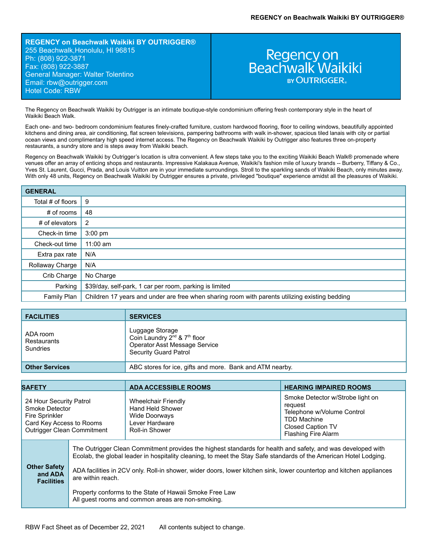**REGENCY on Beachwalk Waikiki BY OUTRIGGER®** 255 Beachwalk,Honolulu, HI 96815 Ph: (808) 922-3871 Fax: (808) 922-3887 General Manager: Walter Tolentino Email: rbw[@outrigger.com](mailto:orf@outrigger.com) Hotel Code: RBW

# Regency on<br>Beachwalk Waikiki **BY OUTRIGGER.**

The Regency on Beachwalk Waikiki by Outrigger is an intimate boutique-style condominium offering fresh contemporary style in the heart of Waikiki Beach Walk.

Each one- and two- bedroom condominium features finely-crafted furniture, custom hardwood flooring, floor to ceiling windows, beautifully appointed kitchens and dining area, air conditioning, flat screen televisions, pampering bathrooms with walk in-shower, spacious tiled lanais with city or partial ocean views and complimentary high speed internet access. The Regency on Beachwalk Waikiki by Outrigger also features three on-property restaurants, a sundry store and is steps away from Waikiki beach.

Regency on Beachwalk Waikiki by Outrigger's location is ultra convenient. A few steps take you to the exciting Waikiki Beach Walk® promenade where venues offer an array of enticing shops and restaurants. Impressive Kalakaua Avenue, Waikiki's fashion mile of luxury brands -- Burberry, Tiffany & Co., Yves St. Laurent, Gucci, Prada, and Louis Vuitton are in your immediate surroundings. Stroll to the sparkling sands of Waikiki Beach, only minutes away. With only 48 units, Regency on Beachwalk Waikiki by Outrigger ensures a private, privileged "boutique" experience amidst all the pleasures of Waikiki.

| <b>GENERAL</b>    |                                                                                                |
|-------------------|------------------------------------------------------------------------------------------------|
| Total # of floors | 9                                                                                              |
| $#$ of rooms      | 48                                                                                             |
| # of elevators    | 2                                                                                              |
| Check-in time     | $3:00$ pm                                                                                      |
| Check-out time    | $11:00$ am                                                                                     |
| Extra pax rate    | N/A                                                                                            |
| Rollaway Charge   | N/A                                                                                            |
| Crib Charge       | No Charge                                                                                      |
| Parking           | \$39/day, self-park, 1 car per room, parking is limited                                        |
| Family Plan       | Children 17 years and under are free when sharing room with parents utilizing existing bedding |

| <b>FACILITIES</b>                   | <b>SERVICES</b>                                                                                                                          |
|-------------------------------------|------------------------------------------------------------------------------------------------------------------------------------------|
| ADA room<br>Restaurants<br>Sundries | Luggage Storage<br>Coin Laundry 2 <sup>nd</sup> & 7 <sup>th</sup> floor<br>Operator Asst Message Service<br><b>Security Guard Patrol</b> |
| <b>Other Services</b>               | ABC stores for ice, gifts and more. Bank and ATM nearby.                                                                                 |

| <b>SAFETY</b>                                                                                                         |                                                                                                                                                                                                                                                                                                                                                                                                                                                                                               | <b>ADA ACCESSIBLE ROOMS</b>                                                                                | <b>HEARING IMPAIRED ROOMS</b>                                                                                                                             |
|-----------------------------------------------------------------------------------------------------------------------|-----------------------------------------------------------------------------------------------------------------------------------------------------------------------------------------------------------------------------------------------------------------------------------------------------------------------------------------------------------------------------------------------------------------------------------------------------------------------------------------------|------------------------------------------------------------------------------------------------------------|-----------------------------------------------------------------------------------------------------------------------------------------------------------|
| 24 Hour Security Patrol<br>Smoke Detector<br>Fire Sprinkler<br>Card Key Access to Rooms<br>Outrigger Clean Commitment |                                                                                                                                                                                                                                                                                                                                                                                                                                                                                               | <b>Wheelchair Friendly</b><br>Hand Held Shower<br><b>Wide Doorways</b><br>Lever Hardware<br>Roll-in Shower | Smoke Detector w/Strobe light on<br>request<br>Telephone w/Volume Control<br><b>TDD Machine</b><br><b>Closed Caption TV</b><br><b>Flashing Fire Alarm</b> |
| <b>Other Safety</b><br>and ADA<br><b>Facilities</b>                                                                   | The Outrigger Clean Commitment provides the highest standards for health and safety, and was developed with<br>Ecolab, the global leader in hospitality cleaning, to meet the Stay Safe standards of the American Hotel Lodging.<br>ADA facilities in 2CV only. Roll-in shower, wider doors, lower kitchen sink, lower countertop and kitchen appliances<br>are within reach.<br>Property conforms to the State of Hawaii Smoke Free Law<br>All quest rooms and common areas are non-smoking. |                                                                                                            |                                                                                                                                                           |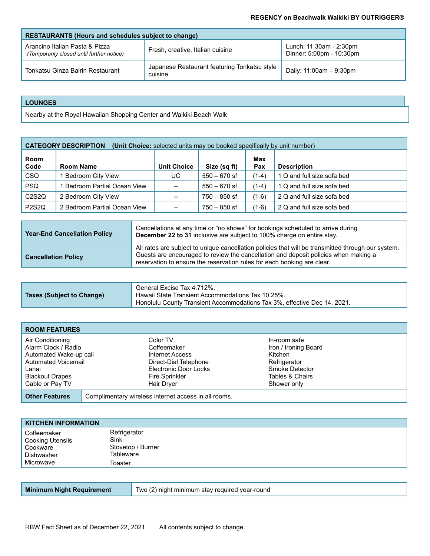| <b>RESTAURANTS (Hours and schedules subject to change)</b>                  |                                                         |                                                     |
|-----------------------------------------------------------------------------|---------------------------------------------------------|-----------------------------------------------------|
| Arancino Italian Pasta & Pizza<br>(Temporarily closed until further notice) | Fresh, creative, Italian cuisine                        | Lunch: 11:30am - 2:30pm<br>Dinner: 5:00pm - 10:30pm |
| Tonkatsu Ginza Bairin Restaurant                                            | Japanese Restaurant featuring Tonkatsu style<br>cuisine | Daily: 11:00am - 9:30pm                             |

## **LOUNGES**

Nearby at the Royal Hawaiian Shopping Center and Waikiki Beach Walk

| <b>CATEGORY DESCRIPTION</b><br>(Unit Choice: selected units may be booked specifically by unit number) |                              |                    |                |            |                            |
|--------------------------------------------------------------------------------------------------------|------------------------------|--------------------|----------------|------------|----------------------------|
| Room<br>Code                                                                                           | <b>Room Name</b>             | <b>Unit Choice</b> | Size (sq ft)   | Max<br>Pax | <b>Description</b>         |
| <b>CSQ</b>                                                                                             | 1 Bedroom City View          | UC                 | $550 - 670$ sf | $(1-4)$    | 1 Q and full size sofa bed |
| <b>PSQ</b>                                                                                             | 1 Bedroom Partial Ocean View | $\hspace{0.05cm}$  | $550 - 670$ sf | $(1-4)$    | 1 Q and full size sofa bed |
| C <sub>2</sub> S <sub>2</sub> Q                                                                        | 2 Bedroom City View          |                    | $750 - 850$ sf | $(1-6)$    | 2 Q and full size sofa bed |
| <b>P2S2Q</b>                                                                                           | 2 Bedroom Partial Ocean View |                    | $750 - 850$ sf | $(1-6)$    | 2 Q and full size sofa bed |

| <b>Year-End Cancellation Policy</b> | Cancellations at any time or "no shows" for bookings scheduled to arrive during<br>December 22 to 31 inclusive are subject to 100% charge on entire stay.                                                                                                            |
|-------------------------------------|----------------------------------------------------------------------------------------------------------------------------------------------------------------------------------------------------------------------------------------------------------------------|
| <b>Cancellation Policy</b>          | All rates are subject to unique cancellation policies that will be transmitted through our system.<br>Guests are encouraged to review the cancellation and deposit policies when making a<br>reservation to ensure the reservation rules for each booking are clear. |

| <b>Taxes (Subject to Change)</b> | General Excise Tax 4.712%.<br>Hawaii State Transient Accommodations Tax 10.25%.<br>Honolulu County Transient Accommodations Tax 3%, effective Dec 14, 2021. |
|----------------------------------|-------------------------------------------------------------------------------------------------------------------------------------------------------------|
|----------------------------------|-------------------------------------------------------------------------------------------------------------------------------------------------------------|

| <b>ROOM FEATURES</b>                                                                                                        |  |                                                                                                                              |                                                                                                      |  |
|-----------------------------------------------------------------------------------------------------------------------------|--|------------------------------------------------------------------------------------------------------------------------------|------------------------------------------------------------------------------------------------------|--|
| Air Conditioning<br>Alarm Clock / Radio<br>Automated Wake-up call<br>Automated Voicemail<br>Lanai<br><b>Blackout Drapes</b> |  | Color TV<br>Coffeemaker<br>Internet Access<br>Direct-Dial Telephone<br><b>Electronic Door Locks</b><br><b>Fire Sprinkler</b> | In-room safe<br>Iron / Ironing Board<br>Kitchen<br>Refrigerator<br>Smoke Detector<br>Tables & Chairs |  |
| Cable or Pay TV                                                                                                             |  | Hair Dryer                                                                                                                   | Shower only                                                                                          |  |
| <b>Other Features</b>                                                                                                       |  | Complimentary wireless internet access in all rooms.                                                                         |                                                                                                      |  |

| <b>KITCHEN INFORMATION</b>                                |                                                        |
|-----------------------------------------------------------|--------------------------------------------------------|
| Coffeemaker<br>Cooking Utensils<br>Cookware<br>Dishwasher | Refrigerator<br>Sink<br>Stovetop / Burner<br>Tableware |
| Microwave                                                 | Toaster                                                |

| <b>Minimum Night Requirement</b><br>Two (2) night minimum stay required year-round |  |
|------------------------------------------------------------------------------------|--|
|------------------------------------------------------------------------------------|--|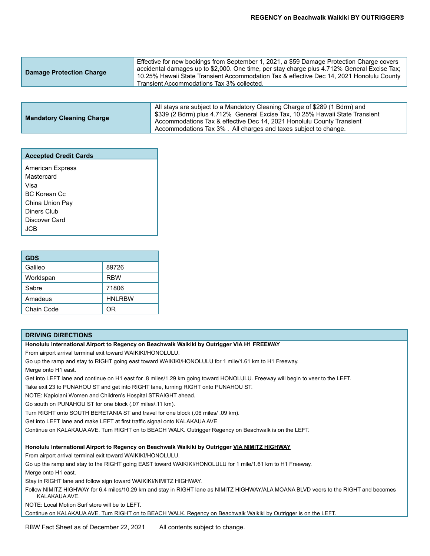| Effective for new bookings from September 1, 2021, a \$59 Damage Protection Charge covers<br>accidental damages up to \$2,000. One time, per stay charge plus 4.712% General Excise Tax;<br><b>Damage Protection Charge</b><br>10.25% Hawaii State Transient Accommodation Tax & effective Dec 14, 2021 Honolulu County<br>Transient Accommodations Tax 3% collected. |  |
|-----------------------------------------------------------------------------------------------------------------------------------------------------------------------------------------------------------------------------------------------------------------------------------------------------------------------------------------------------------------------|--|
|-----------------------------------------------------------------------------------------------------------------------------------------------------------------------------------------------------------------------------------------------------------------------------------------------------------------------------------------------------------------------|--|

| <b>Mandatory Cleaning Charge</b> | All stays are subject to a Mandatory Cleaning Charge of \$289 (1 Bdrm) and<br>│ \$339 (2 Bdrm) plus 4.712% General Excise Tax, 10.25% Hawaii State Transient<br>Accommodations Tax & effective Dec 14, 2021 Honolulu County Transient<br>Accommodations Tax 3%. All charges and taxes subject to change. |
|----------------------------------|----------------------------------------------------------------------------------------------------------------------------------------------------------------------------------------------------------------------------------------------------------------------------------------------------------|
|                                  |                                                                                                                                                                                                                                                                                                          |

| <b>Accepted Credit Cards</b> |
|------------------------------|
| <b>American Express</b>      |
| Mastercard                   |
| Visa                         |
| BC Korean Cc                 |
| China Union Pay              |
| Diners Club                  |
| Discover Card                |
| .ICB                         |

| <b>GDS</b> |               |
|------------|---------------|
| Galileo    | 89726         |
| Worldspan  | <b>RBW</b>    |
| Sabre      | 71806         |
| Amadeus    | <b>HNLRBW</b> |
| Chain Code | ΩR            |

#### **DRIVING DIRECTIONS**

**Honolulu International Airport to Regency on Beachwalk Waikiki by Outrigger VIA H1 FREEWAY**

From airport arrival terminal exit toward WAIKIKI/HONOLULU.

Go up the ramp and stay to RIGHT going east toward WAIKIKI/HONOLULU for 1 mile/1.61 km to H1 Freeway. Merge onto H1 east.

Get into LEFT lane and continue on H1 east for .8 miles/1.29 km going toward HONOLULU. Freeway will begin to veer to the LEFT.

Take exit 23 to PUNAHOU ST and get into RIGHT lane, turning RIGHT onto PUNAHOU ST.

NOTE: Kapiolani Women and Children's Hospital STRAIGHT ahead.

Go south on PUNAHOU ST for one block (.07 miles/.11 km).

Turn RIGHT onto SOUTH BERETANIA ST and travel for one block (.06 miles/ .09 km).

Get into LEFT lane and make LEFT at first traffic signal onto KALAKAUA AVE

Continue on KALAKAUA AVE. Turn RIGHT on to BEACH WALK. Outrigger Regency on Beachwalk is on the LEFT.

**Honolulu International Airport to Regency on Beachwalk Waikiki by Outrigger VIA NIMITZ HIGHWAY**

From airport arrival terminal exit toward WAIKIKI/HONOLULU.

Go up the ramp and stay to the RIGHT going EAST toward WAIKIKI/HONOLULU for 1 mile/1.61 km to H1 Freeway.

Merge onto H1 east.

Stay in RIGHT lane and follow sign toward WAIKIKI/NIMITZ HIGHWAY.

Follow NIMITZ HIGHWAY for 6.4 miles/10.29 km and stay in RIGHT lane as NIMITZ HIGHWAY/ALA MOANA BLVD veers to the RIGHT and becomes KALAKAUA AVE.

NOTE: Local Motion Surf store will be to LEFT.

Continue on KALAKAUA AVE. Turn RIGHT on to BEACH WALK. Regency on Beachwalk Waikiki by Outrigger is on the LEFT.